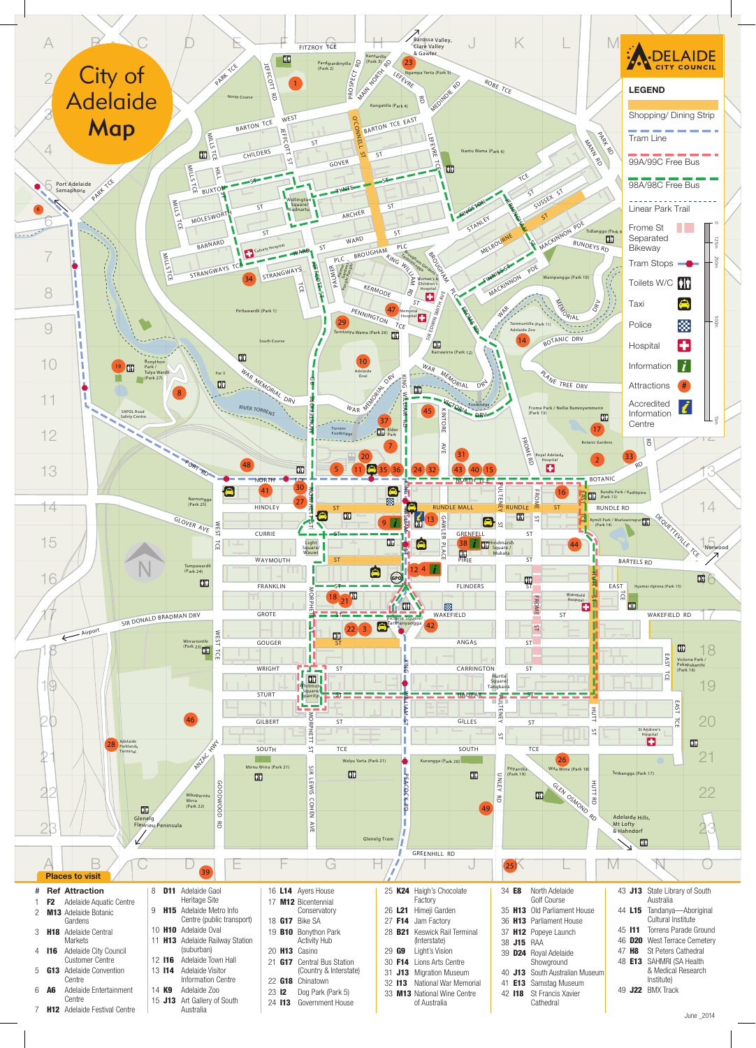